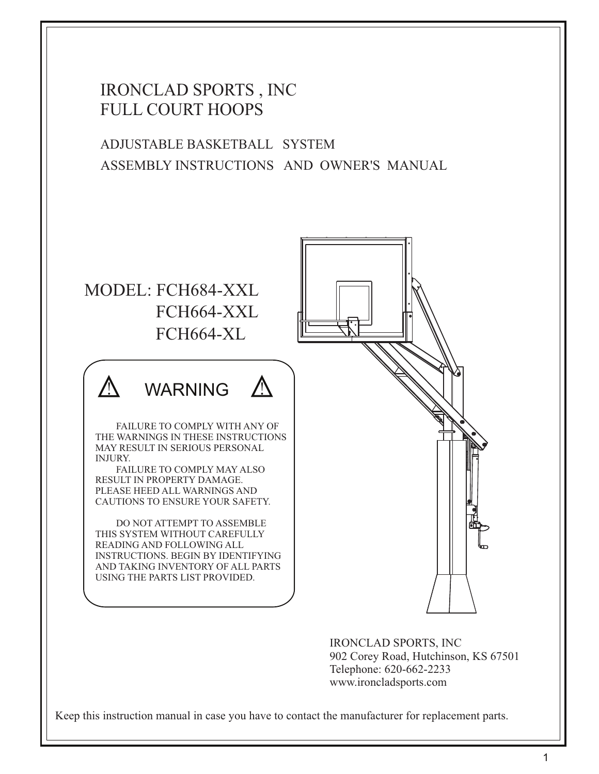### IRONCLAD SPORTS , INC FULL COURT HOOPS

ADJUSTABLE BASKETBALL SYSTEM ASSEMBLY INSTRUCTIONS AND OWNER'S MANUAL

# MODEL: FCH684-XXL FCH664-XL **WARNING** DO NOT ATTEMPT TO ASSEMBLE THIS SYSTEM WITHOUT CAREFULLY READING AND FOLLOWING ALL INSTRUCTIONS. BEGIN BY IDENTIFYING AND TAKING INVENTORY OF ALL PARTS USING THE PARTS LIST PROVIDED. PLEASE HEED ALL WARNINGS AND CAUTIONS TO ENSURE YOUR SAFETY. FAILURE TO COMPLY MAY ALSO RESULT IN PROPERTY DAMAGE. FAILURE TO COMPLY WITH ANY OF THE WARNINGS IN THESE INSTRUCTIONS MAY RESULT IN SERIOUS PERSONAL INJURY. FCH664-XXL

IRONCLAD SPORTS, INC 902 Corey Road, Hutchinson, KS 67501 Telephone: 620-662-2233 www.ironcladsports.com

Keep this instruction manual in case you have to contact the manufacturer for replacement parts.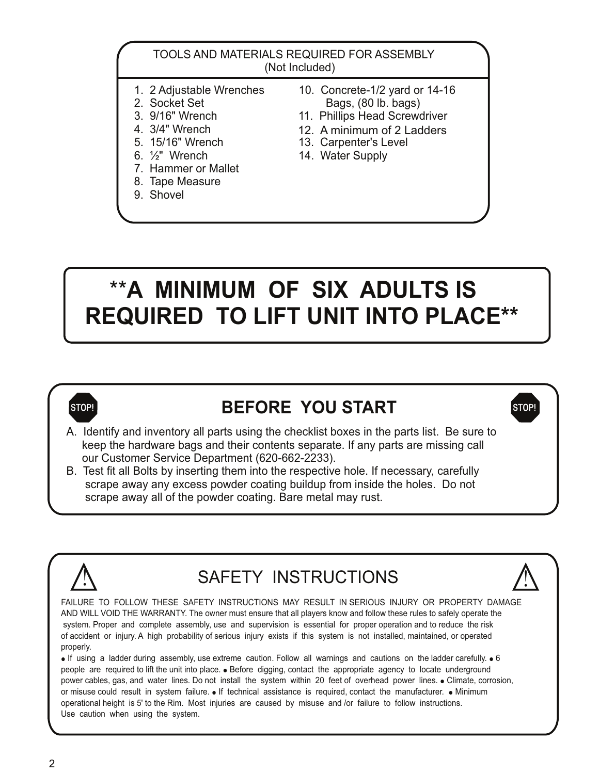#### TOOLS AND MATERIALS REQUIRED FOR ASSEMBLY (Not Included)

- 
- 
- 
- 4. 3/4" Wrench
- 
- 
- 7. Hammer or Mallet
- 8. Tape Measure
- 9. Shovel
- 1. 2 Adjustable Wrenches 10. Concrete-1/2 yard or 14-16<br>2. Socket Set 10. Bags. (80 lb. bags) 2. Socket Set Bags, (80 lb. bags)<br>3. 9/16" Wrench 11. Phillips Head Screw
	- 11. Phillips Head Screwdriver
	- 12. A minimum of 2 Ladders
- 5. 15/16" Wrench 13. Carpenter's Level<br>6. <sup>1</sup>/<sub>2</sub>" Wrench 14. Water Supply
	- 14. Water Supply

# \*\***A MINIMUM OF SIX ADULTS IS REQUIRED TO LIFT UNIT INTO PLACE\*\***



## **STOP! BEFORE YOU START STOP!**

A. Identify and inventory all parts using the checklist boxes in the parts list. Be sure to keep the hardware bags and their contents separate. If any parts are missing call our Customer Service Department (620-662-2233).

B. Test fit all Bolts by inserting them into the respective hole. If necessary, carefully scrape away any excess powder coating buildup from inside the holes. Do not scrape away all of the powder coating. Bare metal may rust.



# SAFETY INSTRUCTIONS



 $\bullet$  If using a ladder during assembly, use extreme caution. Follow all warnings and cautions on the ladder carefully.  $\bullet$  6 people are required to lift the unit into place. • Before digging, contact the appropriate agency to locate underground power cables, gas, and water lines. Do not install the system within 20 feet of overhead power lines. • Climate, corrosion, or misuse could result in system failure.  $\bullet$  If technical assistance is required, contact the manufacturer.  $\bullet$  Minimum operational height is 5' to the Rim. Most injuries are caused by misuse and /or failure to follow instructions. Use caution when using the system.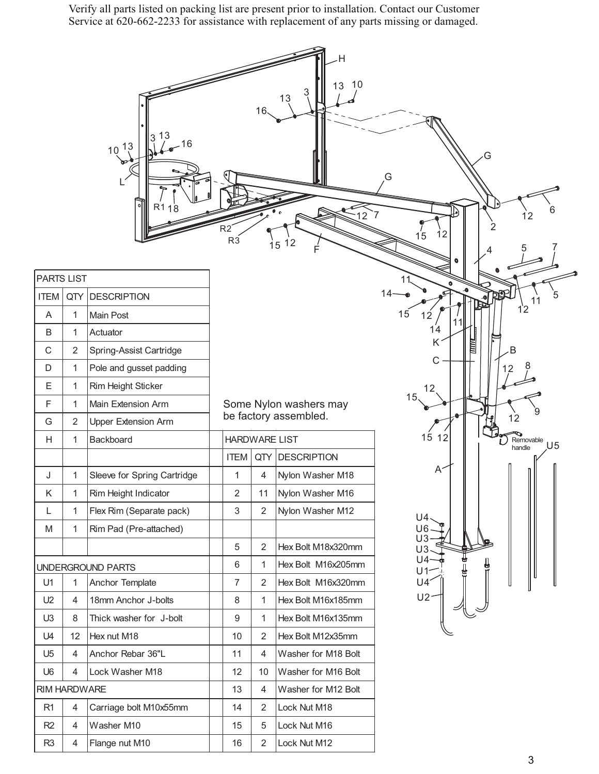Verify all parts listed on packing list are present prior to installation. Contact our Customer Service at 620-662-2233 for assistance with replacement of any parts missing or damaged.

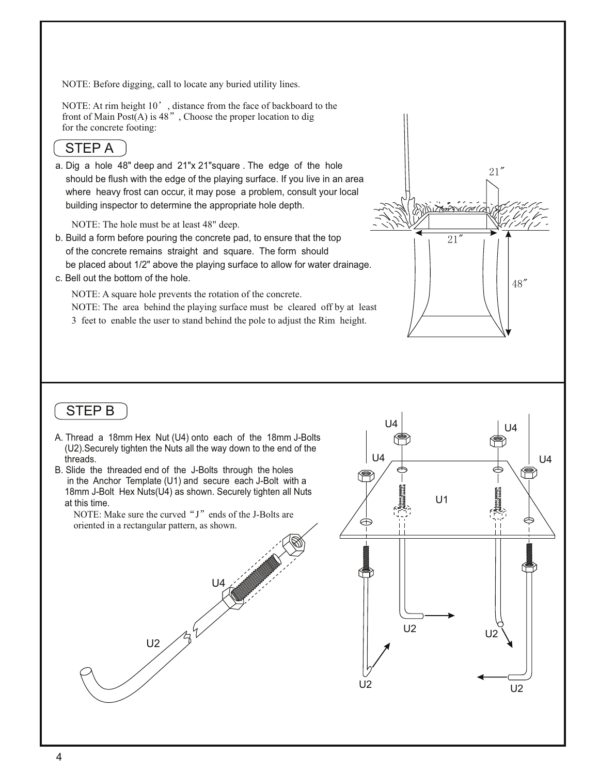NOTE: Before digging, call to locate any buried utility lines.

NOTE: At rim height 10', distance from the face of backboard to the front of Main Post $(A)$  is 48", Choose the proper location to dig for the concrete footing:

### STEP A

a. Dig a hole 48" deep and 21"x 21"square . The edge of the hole should be flush with the edge of the playing surface. If you live in an area where heavy frost can occur, it may pose a problem, consult your local building inspector to determine the appropriate hole depth.

NOTE: The hole must be at least 48" deep.

- b. Build a form before pouring the concrete pad, to ensure that the top of the concrete remains straight and square. The form should be placed about 1/2" above the playing surface to allow for water drainage.
- c. Bell out the bottom of the hole.

NOTE: A square hole prevents the rotation of the concrete.

NOTE: The area behind the playing surface must be cleared off by at least 3 feet to enable the user to stand behind the pole to adjust the Rim height.



- A. Thread a 18mm Hex Nut (U4) onto each of the 18mm J-Bolts (U2).Securely tighten the Nuts all the way down to the end of the threads.
- B. Slide the threaded end of the J-Bolts through the holes in the Anchor Template (U1) and secure each J-Bolt with a 18mm J-Bolt Hex Nuts(U4) as shown. Securely tighten all Nuts at this time.

NOTE: Make sure the curved " $J$ " ends of the J-Bolts are oriented in a rectangular pattern, as shown.





21"

48"

 $21$ "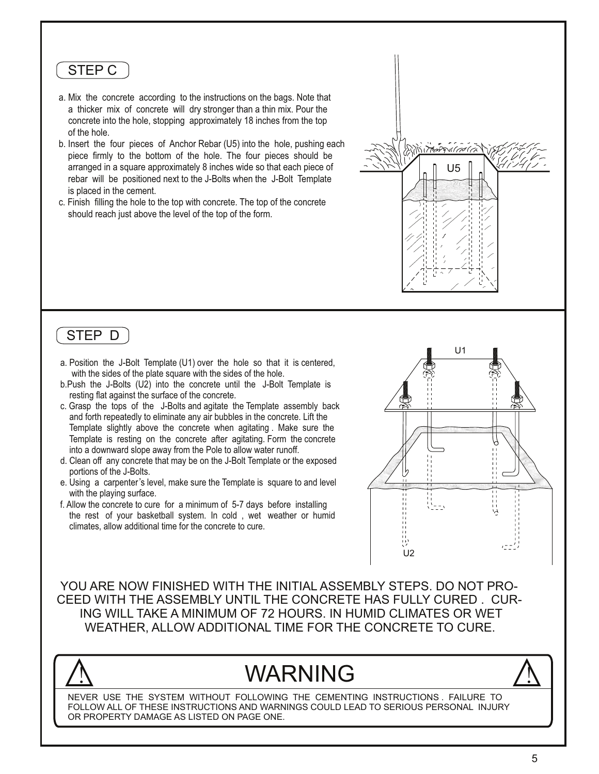#### STEP C

- a. Mix the concrete according to the instructions on the bags. Note that a thicker mix of concrete will dry stronger than a thin mix. Pour the concrete into the hole, stopping approximately 18 inches from the top of the hole.
- b. Insert the four pieces of Anchor Rebar (U5) into the hole, pushing each piece firmly to the bottom of the hole. The four pieces should be arranged in a square approximately 8 inches wide so that each piece of rebar will be positioned next to the J-Bolts when the J-Bolt Template is placed in the cement.
- c. Finish filling the hole to the top with concrete. The top of the concrete should reach just above the level of the top of the form.

#### STEP D

- a. Position the J-Bolt Template (U1) over the hole so that it is centered, with the sides of the plate square with the sides of the hole.
- b.Push the J-Bolts (U2) into the concrete until the J-Bolt Template is resting flat against the surface of the concrete.
- c. Grasp the tops of the J-Bolts and agitate the Template assembly back and forth repeatedly to eliminate any air bubbles in the concrete. Lift the Template slightly above the concrete when agitating . Make sure the Template is resting on the concrete after agitating. Form the concrete into a downward slope away from the Pole to allow water runoff.
- d. Clean off any concrete that may be on the J-Bolt Template or the exposed portions of the J-Bolts.
- e. Using a carpenter's level, make sure the Template is square to and level with the playing surface.
- f. Allow the concrete to cure for a minimum of 5-7 days before installing the rest of your basketball system. In cold , wet weather or humid climates, allow additional time for the concrete to cure.



U5

111117820111

YOU ARE NOW FINISHED WITH THE INITIAL ASSEMBLY STEPS. DO NOT PRO-CEED WITH THE ASSEMBLY UNTIL THE CONCRETE HAS FULLY CURED . CUR-ING WILL TAKE A MINIMUM OF 72 HOURS. IN HUMID CLIMATES OR WET WEATHER, ALLOW ADDITIONAL TIME FOR THE CONCRETE TO CURE.

# WARNING



NEVER USE THE SYSTEM WITHOUT FOLLOWING THE CEMENTING INSTRUCTIONS . FAILURE TO FOLLOW ALL OF THESE INSTRUCTIONS AND WARNINGS COULD LEAD TO SERIOUS PERSONAL INJURY OR PROPERTY DAMAGE AS LISTED ON PAGE ONE.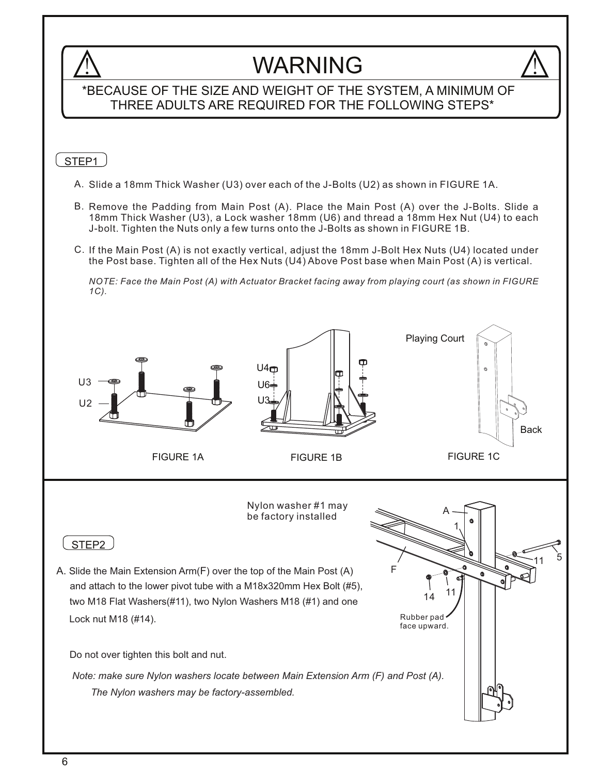### **WARNING** \*BECAUSE OF THE SIZE AND WEIGHT OF THE SYSTEM, A MINIMUM OF THREE ADULTS ARE REQUIRED FOR THE FOLLOWING STEPS\* STEP<sub>1</sub> A. Slide a 18mm Thick Washer (U3) over each of the J-Bolts (U2) as shown in FIGURE 1A. B. Remove the Padding from Main Post (A). Place the Main Post (A) over the J-Bolts. Slide a 18mm Thick Washer (U3), a Lock washer 18mm (U6) and thread a 18mm Hex Nut (U4) to each J-bolt. Tighten the Nuts only a few turns onto the J-Bolts as shown in FIGURE 1B. If the Main Post (A) is not exactly vertical, adjust the 18mm J-Bolt Hex Nuts (U4) located under C. the Post base. Tighten all of the Hex Nuts (U4) Above Post base when Main Post (A) is vertical. *NOTE: Face the Main Post (A) with Actuator Bracket facing away from playing court (as shown in FIGURE 1C).* Playing Court  $U4\Box$ U3 U6 U3  $112$ Back FIGURE 1B FIGURE 1A FIGURE 1C Nylon washer #1 may A be factory installed 1STEP<sub>2</sub>  $11 \t 5$ A. Slide the Main Extension Arm( $F$ ) over the top of the Main Post (A) F  $\Omega$ and attach to the lower pivot tube with a M18x320mm Hex Bolt (#5), 14 two M18 Flat Washers(#11), two Nylon Washers M18 (#1) and one Rubber pad Lock nut M18 (#14). face upward. Do not over tighten this bolt and nut. *Note: make sure Nylon washers locate between Main Extension Arm (F) and Post (A). The Nylon washers may be factory-assembled.*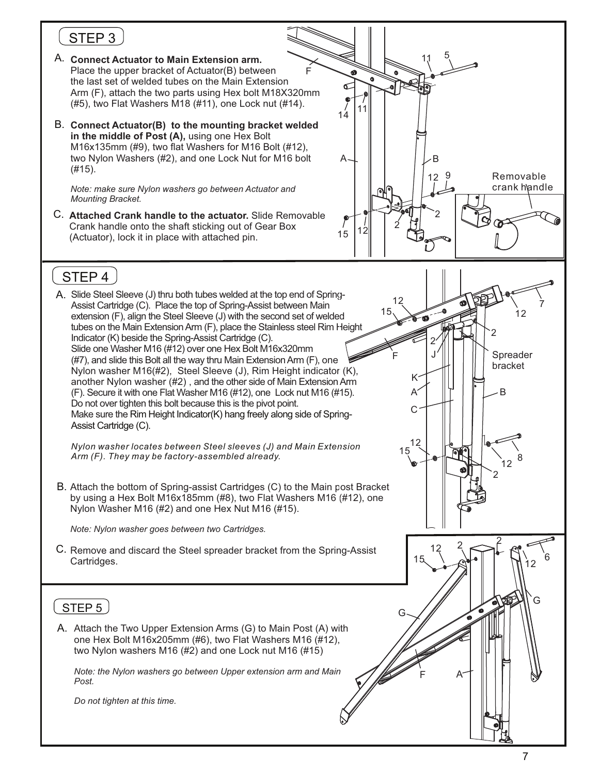## STEP<sub>3</sub>

- A. **Connect Actuator to Main Extension arm.** the last set of welded tubes on the Main Extension Place the upper bracket of Actuator(B) between Arm (F), attach the two parts using Hex bolt M18X320mm (#5), two Flat Washers M18 (#11), one Lock nut (#14). F
- B. **Connect Actuator(B) to the mounting bracket welded in the middle of Post (A),** using one Hex Bolt M16x135mm (#9), two flat Washers for M16 Bolt (#12), two Nylon Washers (#2), and one Lock Nut for M16 bolt (#15).

*Note: make sure Nylon washers go between Actuator and Mounting Bracket.*

C. **Attached Crank handle to the actuator.** Slide Removable Crank handle onto the shaft sticking out of Gear Box (Actuator), lock it in place with attached pin.



### STEP 4

A. Slide Steel Sleeve (J) thru both tubes welded at the top end of Spring-Slide one Washer M16 (#12) over one Hex Bolt M16x320mm Make sure the Rim Height Indicator(K) hang freely along side of Spring-Assist Cartridge (C). Assist Cartridge (C). Place the top of Spring-Assist between Main extension (F), align the Steel Sleeve (J) with the second set of welded tubes on the Main Extension Arm (F), place the Stainless steel Rim Height Indicator (K) beside the Spring-Assist Cartridge (C). Do not over tighten this bolt because this is the pivot point. (#7), and slide this Bolt all the way thru Main Extension Arm (F), one Nylon washer M16(#2), Steel Sleeve (J), Rim Height indicator (K), another Nylon washer (#2) , and the other side of Main Extension Arm (F). Secure it with one Flat Washer M16 (#12), one Lock nut M16 (#15).

*Nylon washer locates between Steel sleeves (J) and Main Extension Arm (F). They may be factory-assembled already.*

B. Attach the bottom of Spring-assist Cartridges (C) to the Main post Bracket by using a Hex Bolt M16x185mm (#8), two Flat Washers M16 (#12), one Nylon Washer M16 (#2) and one Hex Nut M16 (#15).

*Note: Nylon washer goes between two Cartridges.*

C. Remove and discard the Steel spreader bracket from the Spring-Assist Cartridges.

#### STEP<sub>5</sub>

A. Attach the Two Upper Extension Arms (G) to Main Post (A) with one Hex Bolt M16x205mm (#6), two Flat Washers M16 (#12), two Nylon washers M16 (#2) and one Lock nut M16 (#15)

*Note: the Nylon washers go between Upper extension arm and Main Post.*

*Do not tighten at this time.*

 $\mathfrak{D}$ 

7

12

Spreader bracket

 $\mathfrak{p}$ 

B

 $i$ 12  $8$ 

G

2

2

 $12^{2}$ 

F A

G

12 15

F

J 2

K A

C

12 15

15